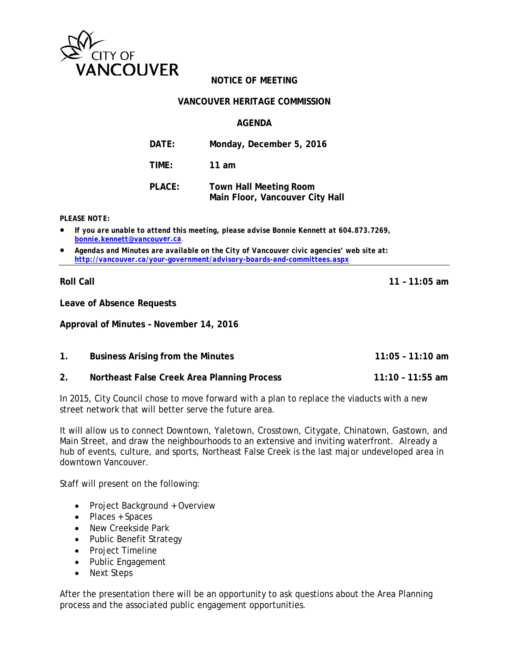

## **NOTICE OF MEETING**

#### **VANCOUVER HERITAGE COMMISSION**

#### **AGENDA**

| DATE:  | Monday, December 5, 2016                                         |
|--------|------------------------------------------------------------------|
| TIME:  | 11 am                                                            |
| PLACE: | <b>Town Hall Meeting Room</b><br>Main Floor, Vancouver City Hall |

*PLEASE NOTE:*

- *If you are unable to attend this meeting, please advise Bonnie Kennett at 604.873.7269, [bonnie.kennett@vancouve](mailto:bonnie.kennett@vancouv)r.ca*.
- *Agendas and Minutes are available on the City of Vancouver civic agencies' web site at: <http://vancouver.ca/your-government/advisory-boards-and-committees.aspx>*

**Roll Call 11 – 11:05 am**

**Leave of Absence Requests**

**Approval of Minutes – November 14, 2016**

| <b>Business Arising from the Minutes</b>    | 11:05 - 11:10 am   |
|---------------------------------------------|--------------------|
| Northeast False Creek Area Planning Process | $11:10 - 11:55$ am |

In 2015, City Council chose to move forward with a plan to replace the viaducts with a new street network that will better serve the future area.

It will allow us to connect Downtown, Yaletown, Crosstown, Citygate, Chinatown, Gastown, and Main Street, and draw the neighbourhoods to an extensive and inviting waterfront. Already a hub of events, culture, and sports, Northeast False Creek is the last major undeveloped area in downtown Vancouver.

Staff will present on the following:

- Project Background + Overview
- Places + Spaces
- New Creekside Park
- Public Benefit Strategy
- Project Timeline
- Public Engagement
- Next Steps

After the presentation there will be an opportunity to ask questions about the Area Planning process and the associated public engagement opportunities.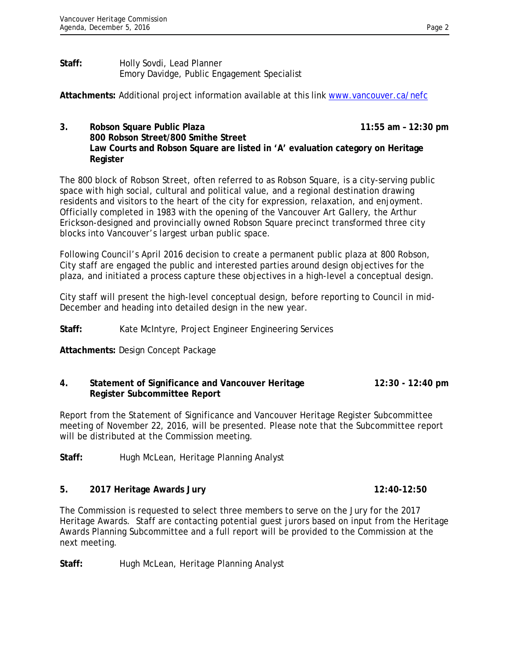#### **Staff:** Holly Sovdi, Lead Planner Emory Davidge, Public Engagement Specialist

Attachments: Additional project information available at this link [www.vancouver.ca/nefc](http://www.vancouver.ca/nefc)

**3. Robson Square Public Plaza** 11:55 am – 12:30 pm **800 Robson Street/800 Smithe Street Law Courts and Robson Square are listed in 'A' evaluation category on Heritage Register** 

The 800 block of Robson Street, often referred to as Robson Square, is a city-serving public space with high social, cultural and political value, and a regional destination drawing residents and visitors to the heart of the city for expression, relaxation, and enjoyment. Officially completed in 1983 with the opening of the Vancouver Art Gallery, the Arthur Erickson-designed and provincially owned Robson Square precinct transformed three city blocks into Vancouver's largest urban public space.

Following Council's April 2016 decision to create a permanent public plaza at 800 Robson, City staff are engaged the public and interested parties around design objectives for the plaza, and initiated a process capture these objectives in a high-level a conceptual design.

City staff will present the high-level conceptual design, before reporting to Council in mid-December and heading into detailed design in the new year.

## **Staff:** Kate McIntyre, Project Engineer Engineering Services

**Attachments:** Design Concept Package

### **4. Statement of Significance and Vancouver Heritage 12:30 - 12:40 pm Register Subcommittee Report**

Report from the Statement of Significance and Vancouver Heritage Register Subcommittee meeting of November 22, 2016, will be presented. Please note that the Subcommittee report will be distributed at the Commission meeting.

**Staff:** Hugh McLean, Heritage Planning Analyst

# **5. 2017 Heritage Awards Jury 12:40-12:50**

The Commission is requested to select three members to serve on the Jury for the 2017 Heritage Awards. Staff are contacting potential guest jurors based on input from the Heritage Awards Planning Subcommittee and a full report will be provided to the Commission at the next meeting.

Staff: Hugh McLean, Heritage Planning Analyst